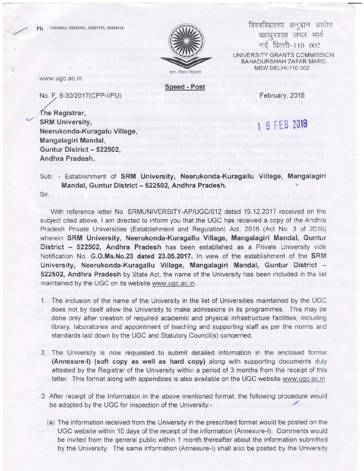No E 8-30|2017(CPP-|/PU)



विश्वविद्यालय अनुदान आयोग बहादुरशाह जफर मार्ग नई दिल्ली-110 002 UNIVERSITY GRANTS COMMISSION BAHADURSHAH ZAFAR MARG NEW DELHI-110 002

ज्ञान—विज्ञान विमुक्तये

www.ugc.ac.in.

The Registrar,

,/

**Speed - Post** 

February, 2018

SRM University, Neerukonda-Kuragalu Village, Mangalagiri Mandal, Guntur District - 522502, Andhra Pradesh.

## 9 FEB 2018

Sub: - Establishment of SRM University, Neerukonda-Kuragallu Village, Mangalagiri Mandal, Guntur District - 522502, Andhra Pradesh.

Sir,

With reference letter No. SRMUNIVERSITY-AP/UGC/012 dated 19.12.2017 received on the subject cited above, I am directed to inform you that the UGC has received a copy of the Andhra Pradesh Private Universities (Establishment and Regulation) Act, 2016 (Act No. 3 of 2016) wherein SRM University, Neerukonda-Kuragallu Village, Mangalagiri Mandal, Guntur District - 522502. Andhra Pradesh has been established as a Private University vide Notification No. G.O.Ms.No.23 dated 23.05.2017. In view of the establishment of the SRM University, Neerukonda-Kuragallu Village, Mangalagiri Mandal, Guntur District 522502, Andhra Pradesh by State Act, the name of the University has been included in the list maintained by the UGC on its website www.ugc.ac.in.

- 1. The inclusion of the name of the University in the list of Universities maintained by the UGC does not by itself allow the University to make admissions in its programmes. This may be done only after creation of required academic and physical infrastructure facilities, including library, laboratories and appointment of teaching and supporting staff as per the norms and standards laid down by the UGC and Statutory Council(s) concerned.
- 2. The University is now requested to submit detailed information in the enclosed format (Annexure-l) (soft copy as well as hard copy) along with supporting documents duly attested by the Registrar of the University within a period of 3 months from the receipt of this letter. This format along with appendices is also available on the UGC website www.uqc.ac.in
- 3. After receipt of the lnformation in the above mentioned format, the following procedure would be adopted by the UGC for inspection of the University:-
	- (a) The information received from the University in the prescribed format would be posted on the UGC website within 10 days of the receipt of the information (Annexure-l). Comments would be invited from the general public within 1 month thereafter about the information subrnitted by the University. The same information (Annexure-l) shall also be posted by the University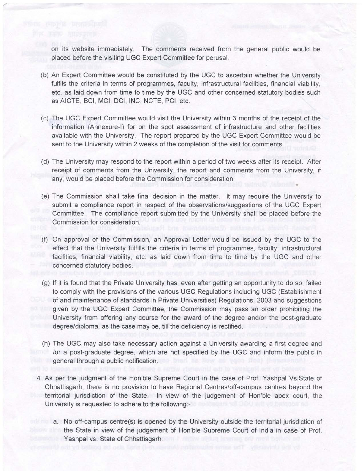on its website immediately. The comments received from the general public would be placed before the visiting UGC Expert Committee for perusal.

- (b) An Expert Committee would be constituted by the UGC to ascertain whether the University fulfils the criteria in terms of programmes, faculty, infrastructural facilities, financial viability, etc. as laid down from time to time by the UGC and other concerned statutory bodies such as AICTE, BCl, MCl, DCl, lNC, NCTE, PCl, etc.
- (c) The UGC Expert Committee would visit the University within 3 months of the receipt of the information (Annexure-l) for on the spot assessment of infrastructure and other facilities available with the University. The report prepared by the UGC Expert Committee would be sent to the University within 2 weeks of the completion of the visit for comments.
- (d) The University may respond to the report within a period of two weeks after its receipt. After receipt of comments from the University, the report and comments from the University, if any, would be placed before the Commission for consideration.
- (e) The Commission shall take final decision in the matter. lt may require the University to submit a compliance report in respect of the observations/suggestions of the UGC Expert Committee. The compliance report submitted by the University shall be placed before the Commission for consideration.
- (f) On approval of the Commission, an Approval Letter would be issued by the UGC to the effect that the University fulfills the criteria in terms of programmes, faculty, infrastructural facilities, financial viability, etc. as laid down from time to time by the UGC and other concerned statutory bodies.
- (g) lf it is found that the Private University has, even after getting an opportunity to do so, failed to cornply with the provisions of the various UGC Regulations including UGC (Establishment of and maintenance of standards in Private Universities) Regulations, 2003 and suggestions given by the UGC Expert Committee, the Commission may pass an order prohibiting the University from offering any course for the award of the degree and/or the post-graduate degree/diploma, as the case may be, till the deficiency is rectified.
- (h) The UGC may also take necessary action against a University awarding a first degree and /or a post-graduate degree, which are not specified by the UGC and inform the public in general through a public notification.
- 4. As per the judgment of the Hon'ble Supreme Court in the case of Prof. Yashpal Vs.State of Chhattisgarh, there is no provision to have Regional Centres/off-campus centres beyond the territorial jurisdiction of the State. ln view of the judgement of Hon'ble apex court, the University is requested to adhere to the following:
	- a. No off-campus centre(s) is opened by the University outside the territorial jurisdiction of the State in view of the judgement of Hon'ble Supreme Court of lndia in case of Prof. Yashpal vs. State of Chhattisgarh.